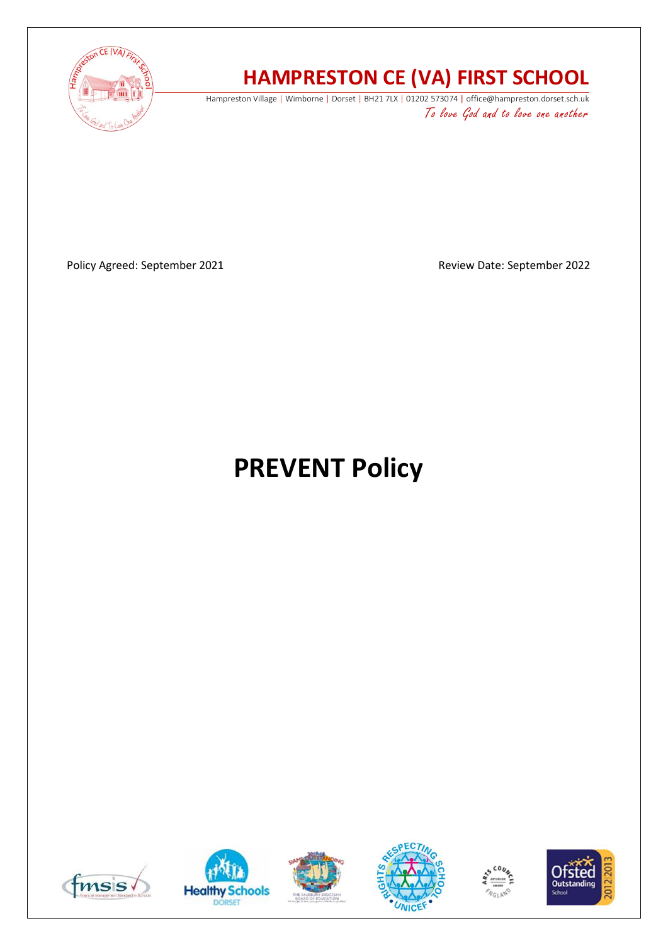

## **HAMPRESTON CE (VA) FIRST SCHOOL**

Hampreston Village | Wimborne | Dorset | BH21 7LX | 01202 573074 | office@hampreston.dorset.sch.uk To love God and to love one another

Policy Agreed: September 2021 and a september 2022

# **PREVENT Policy**











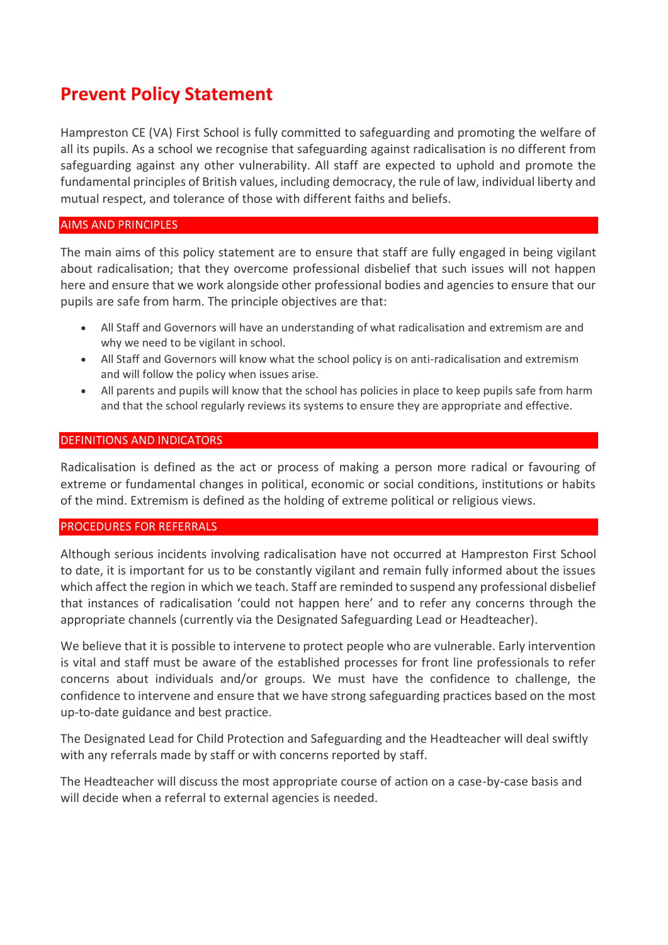### **Prevent Policy Statement**

Hampreston CE (VA) First School is fully committed to safeguarding and promoting the welfare of all its pupils. As a school we recognise that safeguarding against radicalisation is no different from safeguarding against any other vulnerability. All staff are expected to uphold and promote the fundamental principles of British values, including democracy, the rule of law, individual liberty and mutual respect, and tolerance of those with different faiths and beliefs.

#### AIMS AND PRINCIPLES

The main aims of this policy statement are to ensure that staff are fully engaged in being vigilant about radicalisation; that they overcome professional disbelief that such issues will not happen here and ensure that we work alongside other professional bodies and agencies to ensure that our pupils are safe from harm. The principle objectives are that:

- All Staff and Governors will have an understanding of what radicalisation and extremism are and why we need to be vigilant in school.
- All Staff and Governors will know what the school policy is on anti-radicalisation and extremism and will follow the policy when issues arise.
- All parents and pupils will know that the school has policies in place to keep pupils safe from harm and that the school regularly reviews its systems to ensure they are appropriate and effective.

#### DEFINITIONS AND INDICATORS

Radicalisation is defined as the act or process of making a person more radical or favouring of extreme or fundamental changes in political, economic or social conditions, institutions or habits of the mind. Extremism is defined as the holding of extreme political or religious views.

#### PROCEDURES FOR REFERRALS

Although serious incidents involving radicalisation have not occurred at Hampreston First School to date, it is important for us to be constantly vigilant and remain fully informed about the issues which affect the region in which we teach. Staff are reminded to suspend any professional disbelief that instances of radicalisation 'could not happen here' and to refer any concerns through the appropriate channels (currently via the Designated Safeguarding Lead or Headteacher).

We believe that it is possible to intervene to protect people who are vulnerable. Early intervention is vital and staff must be aware of the established processes for front line professionals to refer concerns about individuals and/or groups. We must have the confidence to challenge, the confidence to intervene and ensure that we have strong safeguarding practices based on the most up-to-date guidance and best practice.

The Designated Lead for Child Protection and Safeguarding and the Headteacher will deal swiftly with any referrals made by staff or with concerns reported by staff.

The Headteacher will discuss the most appropriate course of action on a case-by-case basis and will decide when a referral to external agencies is needed.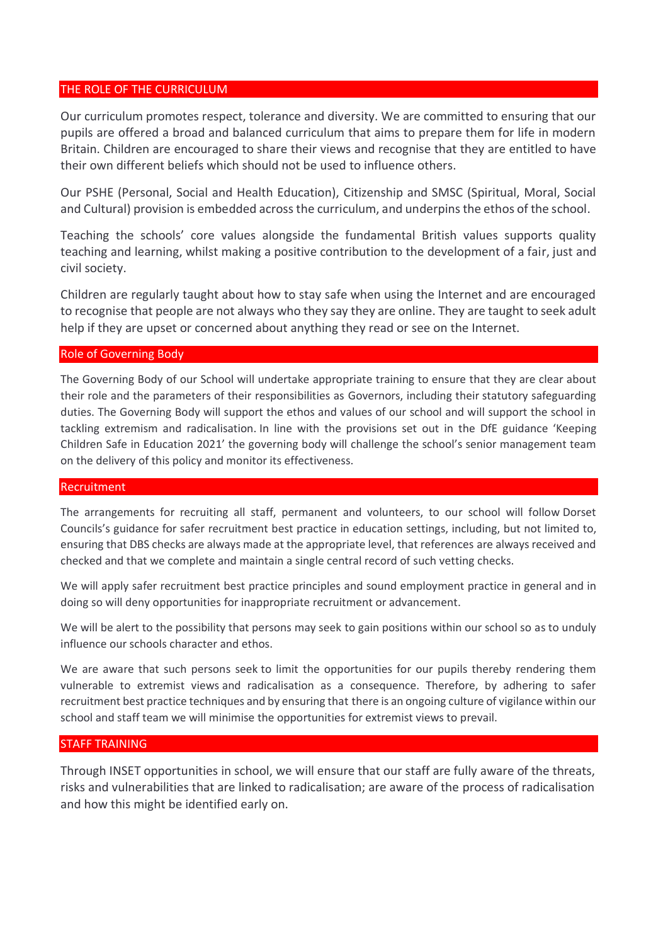#### THE ROLE OF THE CURRICULUM

Our curriculum promotes respect, tolerance and diversity. We are committed to ensuring that our pupils are offered a broad and balanced curriculum that aims to prepare them for life in modern Britain. Children are encouraged to share their views and recognise that they are entitled to have their own different beliefs which should not be used to influence others.

Our PSHE (Personal, Social and Health Education), Citizenship and SMSC (Spiritual, Moral, Social and Cultural) provision is embedded across the curriculum, and underpins the ethos of the school.

Teaching the schools' core values alongside the fundamental British values supports quality teaching and learning, whilst making a positive contribution to the development of a fair, just and civil society.

Children are regularly taught about how to stay safe when using the Internet and are encouraged to recognise that people are not always who they say they are online. They are taught to seek adult help if they are upset or concerned about anything they read or see on the Internet.

#### Role of Governing Body

The Governing Body of our School will undertake appropriate training to ensure that they are clear about their role and the parameters of their responsibilities as Governors, including their statutory safeguarding duties. The Governing Body will support the ethos and values of our school and will support the school in tackling extremism and radicalisation. In line with the provisions set out in the DfE guidance 'Keeping Children Safe in Education 2021' the governing body will challenge the school's senior management team on the delivery of this policy and monitor its effectiveness.

#### Recruitment

The arrangements for recruiting all staff, permanent and volunteers, to our school will follow Dorset Councils's guidance for safer recruitment best practice in education settings, including, but not limited to, ensuring that DBS checks are always made at the appropriate level, that references are always received and checked and that we complete and maintain a single central record of such vetting checks.

We will apply safer recruitment best practice principles and sound employment practice in general and in doing so will deny opportunities for inappropriate recruitment or advancement.

We will be alert to the possibility that persons may seek to gain positions within our school so as to unduly influence our schools character and ethos.

We are aware that such persons seek to limit the opportunities for our pupils thereby rendering them vulnerable to extremist views and radicalisation as a consequence. Therefore, by adhering to safer recruitment best practice techniques and by ensuring that there is an ongoing culture of vigilance within our school and staff team we will minimise the opportunities for extremist views to prevail.

#### STAFF TRAINING

Through INSET opportunities in school, we will ensure that our staff are fully aware of the threats, risks and vulnerabilities that are linked to radicalisation; are aware of the process of radicalisation and how this might be identified early on.